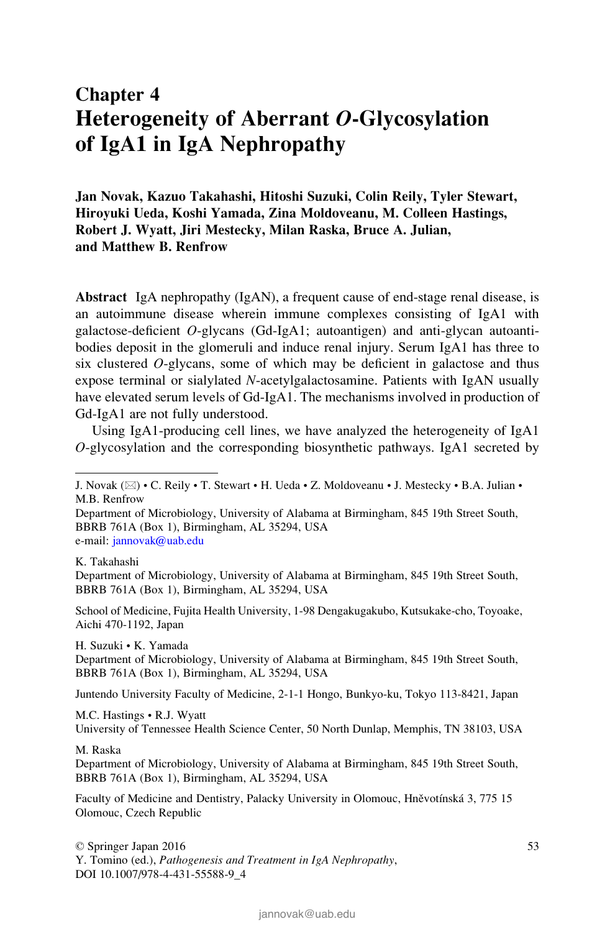# Chapter 4 Heterogeneity of Aberrant O-Glycosylation of IgA1 in IgA Nephropathy

Jan Novak, Kazuo Takahashi, Hitoshi Suzuki, Colin Reily, Tyler Stewart, Hiroyuki Ueda, Koshi Yamada, Zina Moldoveanu, M. Colleen Hastings, Robert J. Wyatt, Jiri Mestecky, Milan Raska, Bruce A. Julian, and Matthew B. Renfrow

Abstract IgA nephropathy (IgAN), a frequent cause of end-stage renal disease, is an autoimmune disease wherein immune complexes consisting of IgA1 with galactose-deficient O-glycans (Gd-IgA1; autoantigen) and anti-glycan autoantibodies deposit in the glomeruli and induce renal injury. Serum IgA1 has three to six clustered  $O$ -glycans, some of which may be deficient in galactose and thus expose terminal or sialylated N-acetylgalactosamine. Patients with IgAN usually have elevated serum levels of Gd-IgA1. The mechanisms involved in production of Gd-IgA1 are not fully understood.

Using IgA1-producing cell lines, we have analyzed the heterogeneity of IgA1 O-glycosylation and the corresponding biosynthetic pathways. IgA1 secreted by

K. Takahashi

Department of Microbiology, University of Alabama at Birmingham, 845 19th Street South, BBRB 761A (Box 1), Birmingham, AL 35294, USA

School of Medicine, Fujita Health University, 1-98 Dengakugakubo, Kutsukake-cho, Toyoake, Aichi 470-1192, Japan

H. Suzuki • K. Yamada

Department of Microbiology, University of Alabama at Birmingham, 845 19th Street South, BBRB 761A (Box 1), Birmingham, AL 35294, USA

Juntendo University Faculty of Medicine, 2-1-1 Hongo, Bunkyo-ku, Tokyo 113-8421, Japan

M.C. Hastings • R.J. Wyatt

University of Tennessee Health Science Center, 50 North Dunlap, Memphis, TN 38103, USA

#### M. Raska

Department of Microbiology, University of Alabama at Birmingham, 845 19th Street South, BBRB 761A (Box 1), Birmingham, AL 35294, USA

Faculty of Medicine and Dentistry, Palacky University in Olomouc, Hněvotínská 3, 775 15 Olomouc, Czech Republic

© Springer Japan 2016 Y. Tomino (ed.), Pathogenesis and Treatment in IgA Nephropathy, DOI 10.1007/978-4-431-55588-9\_4

J. Novak (\*) • C. Reily • T. Stewart • H. Ueda • Z. Moldoveanu • J. Mestecky • B.A. Julian • M.B. Renfrow

Department of Microbiology, University of Alabama at Birmingham, 845 19th Street South, BBRB 761A (Box 1), Birmingham, AL 35294, USA e-mail: [jannovak@uab.edu](mailto:jannovak@uab.edu)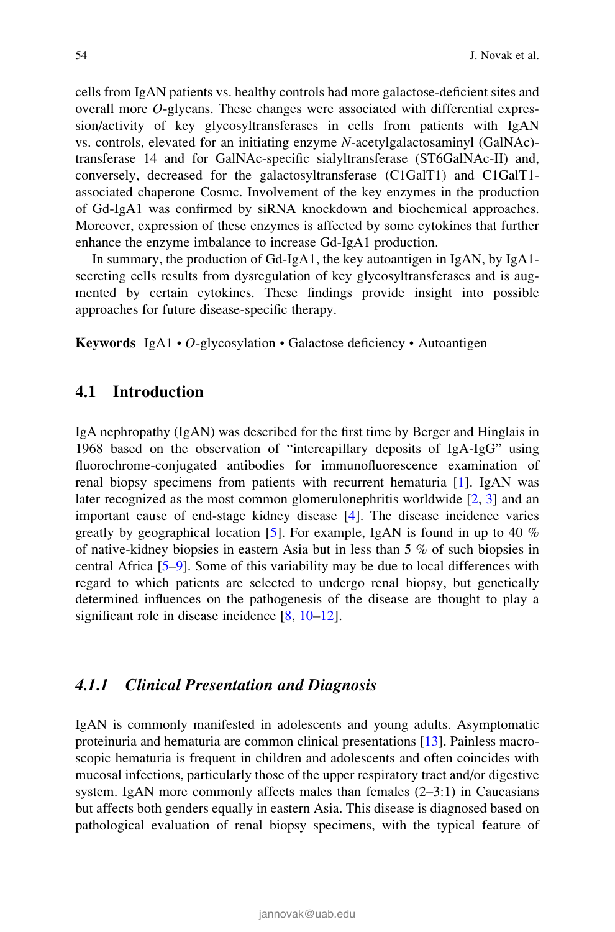cells from IgAN patients vs. healthy controls had more galactose-deficient sites and overall more O-glycans. These changes were associated with differential expression/activity of key glycosyltransferases in cells from patients with IgAN vs. controls, elevated for an initiating enzyme N-acetylgalactosaminyl (GalNAc) transferase 14 and for GalNAc-specific sialyltransferase (ST6GalNAc-II) and, conversely, decreased for the galactosyltransferase (C1GalT1) and C1GalT1 associated chaperone Cosmc. Involvement of the key enzymes in the production of Gd-IgA1 was confirmed by siRNA knockdown and biochemical approaches. Moreover, expression of these enzymes is affected by some cytokines that further enhance the enzyme imbalance to increase Gd-IgA1 production.

In summary, the production of Gd-IgA1, the key autoantigen in IgAN, by IgA1 secreting cells results from dysregulation of key glycosyltransferases and is augmented by certain cytokines. These findings provide insight into possible approaches for future disease-specific therapy.

Keywords IgA1 • O-glycosylation • Galactose deficiency • Autoantigen

### 4.1 Introduction

IgA nephropathy (IgAN) was described for the first time by Berger and Hinglais in 1968 based on the observation of "intercapillary deposits of IgA-IgG" using fluorochrome-conjugated antibodies for immunofluorescence examination of renal biopsy specimens from patients with recurrent hematuria [1]. IgAN was later recognized as the most common glomerulonephritis worldwide [2, 3] and an important cause of end-stage kidney disease [4]. The disease incidence varies greatly by geographical location [5]. For example, IgAN is found in up to 40  $\%$ of native-kidney biopsies in eastern Asia but in less than 5 % of such biopsies in central Africa [5–9]. Some of this variability may be due to local differences with regard to which patients are selected to undergo renal biopsy, but genetically determined influences on the pathogenesis of the disease are thought to play a significant role in disease incidence [8, 10–12].

# 4.1.1 Clinical Presentation and Diagnosis

IgAN is commonly manifested in adolescents and young adults. Asymptomatic proteinuria and hematuria are common clinical presentations [13]. Painless macroscopic hematuria is frequent in children and adolescents and often coincides with mucosal infections, particularly those of the upper respiratory tract and/or digestive system. IgAN more commonly affects males than females  $(2-3:1)$  in Caucasians but affects both genders equally in eastern Asia. This disease is diagnosed based on pathological evaluation of renal biopsy specimens, with the typical feature of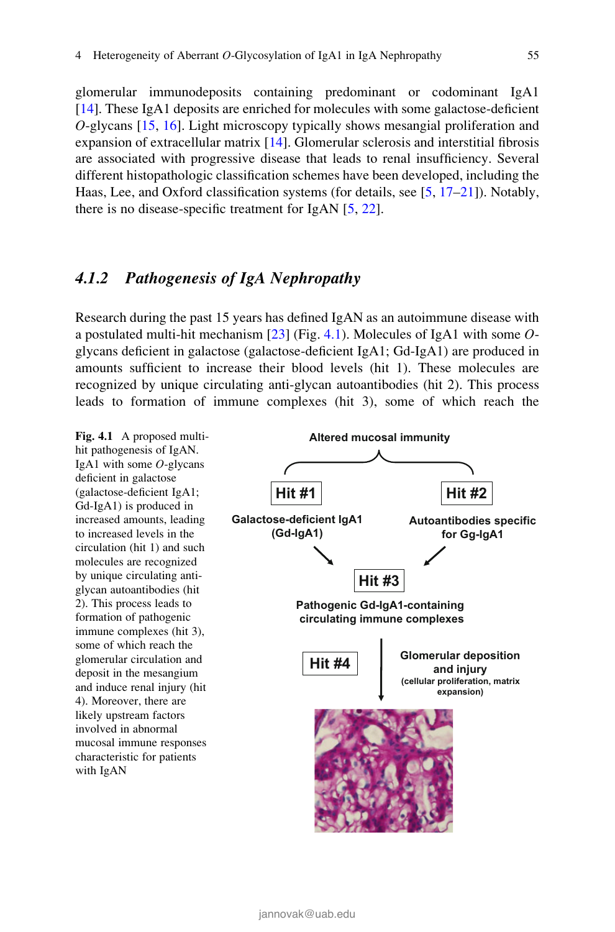glomerular immunodeposits containing predominant or codominant IgA1 [14]. These IgA1 deposits are enriched for molecules with some galactose-deficient O-glycans [15, 16]. Light microscopy typically shows mesangial proliferation and expansion of extracellular matrix [14]. Glomerular sclerosis and interstitial fibrosis are associated with progressive disease that leads to renal insufficiency. Several different histopathologic classification schemes have been developed, including the Haas, Lee, and Oxford classification systems (for details, see [5, 17–21]). Notably, there is no disease-specific treatment for IgAN [5, 22].

# 4.1.2 Pathogenesis of IgA Nephropathy

Research during the past 15 years has defined IgAN as an autoimmune disease with a postulated multi-hit mechanism  $[23]$  (Fig. 4.1). Molecules of IgA1 with some  $O$ glycans deficient in galactose (galactose-deficient IgA1; Gd-IgA1) are produced in amounts sufficient to increase their blood levels (hit 1). These molecules are recognized by unique circulating anti-glycan autoantibodies (hit 2). This process leads to formation of immune complexes (hit 3), some of which reach the

hit pathogenesis of IgAN. IgA1 with some  $O$ -glycans deficient in galactose (galactose-deficient IgA1; Gd-IgA1) is produced in increased amounts, leading to increased levels in the circulation (hit 1) and such molecules are recognized by unique circulating antiglycan autoantibodies (hit 2). This process leads to formation of pathogenic immune complexes (hit 3), some of which reach the glomerular circulation and deposit in the mesangium and induce renal injury (hit 4). Moreover, there are likely upstream factors involved in abnormal mucosal immune responses characteristic for patients with IgAN

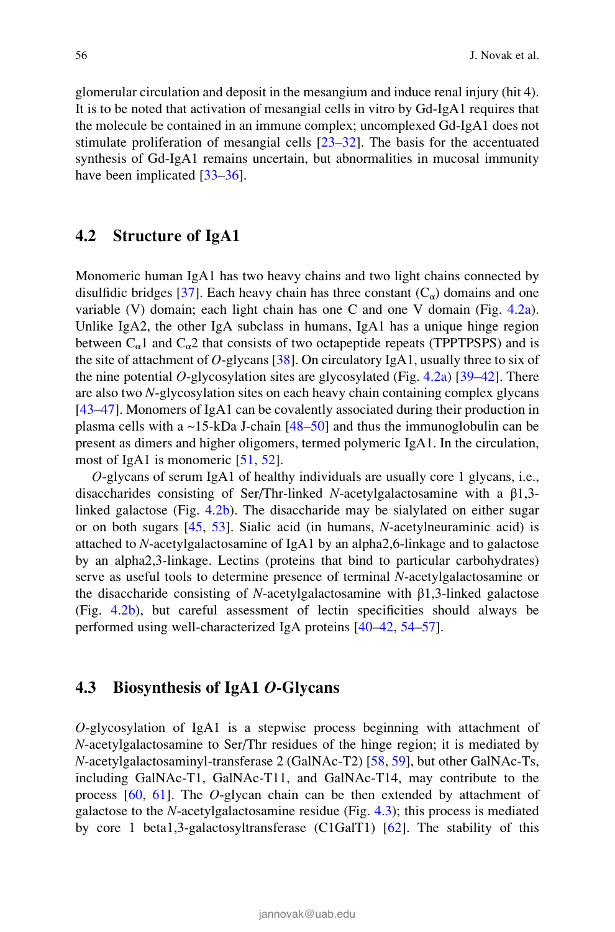glomerular circulation and deposit in the mesangium and induce renal injury (hit 4). It is to be noted that activation of mesangial cells in vitro by Gd-IgA1 requires that the molecule be contained in an immune complex; uncomplexed Gd-IgA1 does not stimulate proliferation of mesangial cells [23–32]. The basis for the accentuated synthesis of Gd-IgA1 remains uncertain, but abnormalities in mucosal immunity have been implicated [33–36].

# 4.2 Structure of IgA1

Monomeric human IgA1 has two heavy chains and two light chains connected by disulfidic bridges [37]. Each heavy chain has three constant  $(C_{\alpha})$  domains and one variable (V) domain; each light chain has one C and one V domain (Fig. 4.2a). Unlike IgA2, the other IgA subclass in humans, IgA1 has a unique hinge region between  $C_{\alpha}1$  and  $C_{\alpha}2$  that consists of two octapeptide repeats (TPPTPSPS) and is the site of attachment of O-glycans [38]. On circulatory IgA1, usually three to six of the nine potential O-glycosylation sites are glycosylated (Fig. 4.2a)  $[39-42]$ . There are also two N-glycosylation sites on each heavy chain containing complex glycans [43–47]. Monomers of IgA1 can be covalently associated during their production in plasma cells with a  $\sim$ 15-kDa J-chain [48–50] and thus the immunoglobulin can be present as dimers and higher oligomers, termed polymeric IgA1. In the circulation, most of IgA1 is monomeric [51, 52].

O-glycans of serum IgA1 of healthy individuals are usually core 1 glycans, i.e., disaccharides consisting of Ser/Thr-linked N-acetylgalactosamine with a β1,3 linked galactose (Fig. 4.2b). The disaccharide may be sialylated on either sugar or on both sugars [45, 53]. Sialic acid (in humans, N-acetylneuraminic acid) is attached to N-acetylgalactosamine of IgA1 by an alpha2,6-linkage and to galactose by an alpha2,3-linkage. Lectins (proteins that bind to particular carbohydrates) serve as useful tools to determine presence of terminal N-acetylgalactosamine or the disaccharide consisting of N-acetylgalactosamine with  $\beta$ 1,3-linked galactose (Fig. 4.2b), but careful assessment of lectin specificities should always be performed using well-characterized IgA proteins [40–42, 54–57].

# 4.3 Biosynthesis of IgA1 O-Glycans

O-glycosylation of IgA1 is a stepwise process beginning with attachment of N-acetylgalactosamine to Ser/Thr residues of the hinge region; it is mediated by N-acetylgalactosaminyl-transferase 2 (GalNAc-T2) [58, 59], but other GalNAc-Ts, including GalNAc-T1, GalNAc-T11, and GalNAc-T14, may contribute to the process [60, 61]. The O-glycan chain can be then extended by attachment of galactose to the  $N$ -acetylgalactosamine residue (Fig.  $4.3$ ); this process is mediated by core 1 beta1,3-galactosyltransferase (C1GalT1) [62]. The stability of this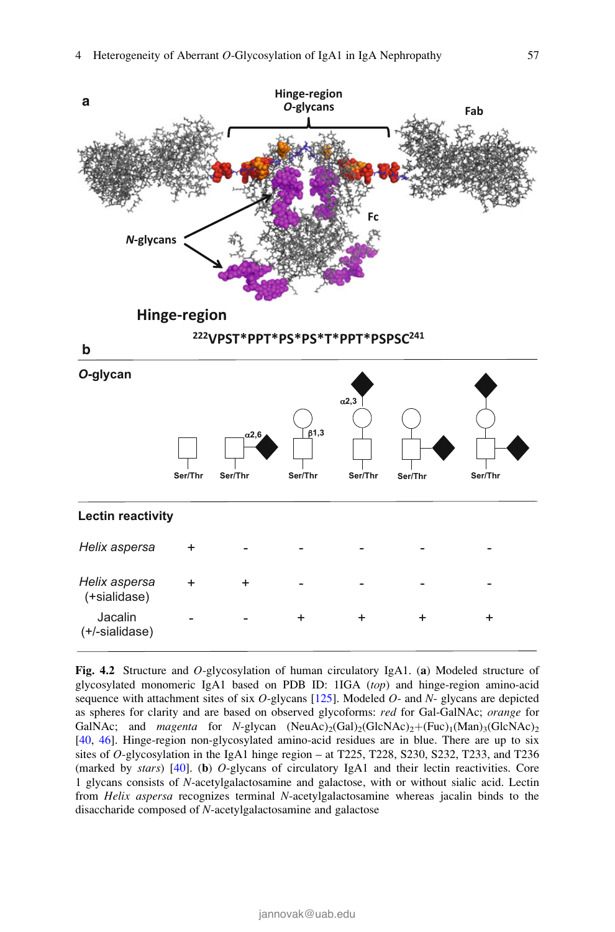

Fig. 4.2 Structure and O-glycosylation of human circulatory IgA1. (a) Modeled structure of glycosylated monomeric IgA1 based on PDB ID: 1IGA (top) and hinge-region amino-acid sequence with attachment sites of six  $O$ -glycans  $[125]$ . Modeled  $O$ - and  $N$ -glycans are depicted as spheres for clarity and are based on observed glycoforms: red for Gal-GalNAc; orange for GalNAc; and *magenta* for N-glycan  $(NeuAc)_{2}(Gal)_{2}(GlcNAc)_{2}+(Fuc)_{1}(Man)_{3}(GlcNAc)_{2}$ [40, 46]. Hinge-region non-glycosylated amino-acid residues are in blue. There are up to six sites of O-glycosylation in the IgA1 hinge region – at T225, T228, S230, S232, T233, and T236 (marked by stars)  $[40]$ . (b) O-glycans of circulatory IgA1 and their lectin reactivities. Core 1 glycans consists of N-acetylgalactosamine and galactose, with or without sialic acid. Lectin from Helix aspersa recognizes terminal N-acetylgalactosamine whereas jacalin binds to the disaccharide composed of N-acetylgalactosamine and galactose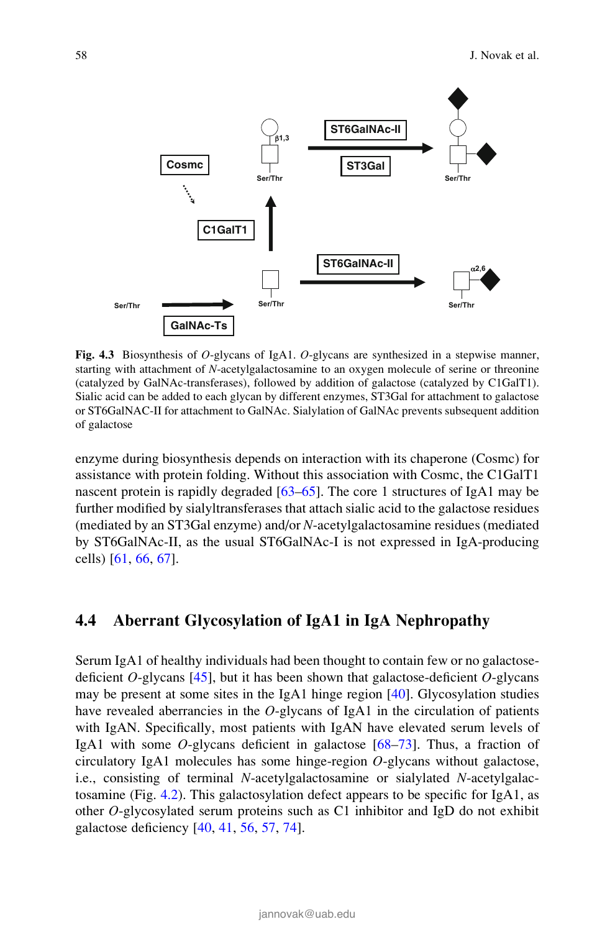

Fig. 4.3 Biosynthesis of O-glycans of IgA1. O-glycans are synthesized in a stepwise manner, starting with attachment of N-acetylgalactosamine to an oxygen molecule of serine or threonine (catalyzed by GalNAc-transferases), followed by addition of galactose (catalyzed by C1GalT1). Sialic acid can be added to each glycan by different enzymes, ST3Gal for attachment to galactose or ST6GalNAC-II for attachment to GalNAc. Sialylation of GalNAc prevents subsequent addition of galactose

enzyme during biosynthesis depends on interaction with its chaperone (Cosmc) for assistance with protein folding. Without this association with Cosmc, the C1GalT1 nascent protein is rapidly degraded [63–65]. The core 1 structures of IgA1 may be further modified by sialyltransferases that attach sialic acid to the galactose residues (mediated by an ST3Gal enzyme) and/or N-acetylgalactosamine residues (mediated by ST6GalNAc-II, as the usual ST6GalNAc-I is not expressed in IgA-producing cells) [61, 66, 67].

# 4.4 Aberrant Glycosylation of IgA1 in IgA Nephropathy

Serum IgA1 of healthy individuals had been thought to contain few or no galactosedeficient  $O$ -glycans [45], but it has been shown that galactose-deficient  $O$ -glycans may be present at some sites in the IgA1 hinge region [40]. Glycosylation studies have revealed aberrancies in the O-glycans of  $IgA1$  in the circulation of patients with IgAN. Specifically, most patients with IgAN have elevated serum levels of IgA1 with some O-glycans deficient in galactose [68–73]. Thus, a fraction of circulatory IgA1 molecules has some hinge-region O-glycans without galactose, i.e., consisting of terminal N-acetylgalactosamine or sialylated N-acetylgalactosamine (Fig. 4.2). This galactosylation defect appears to be specific for IgA1, as other O-glycosylated serum proteins such as C1 inhibitor and IgD do not exhibit galactose deficiency [40, 41, 56, 57, 74].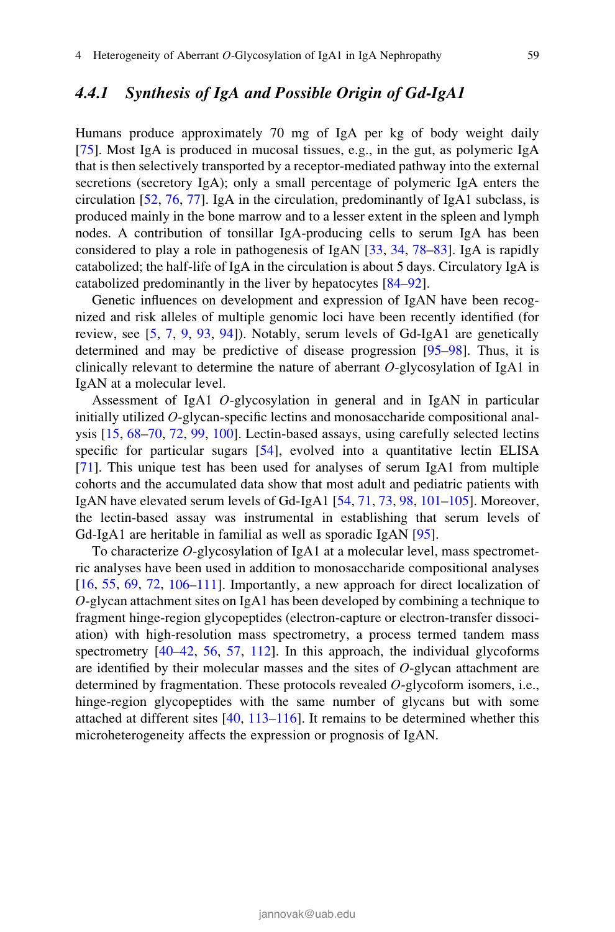# 4.4.1 Synthesis of IgA and Possible Origin of Gd-IgA1

Humans produce approximately 70 mg of IgA per kg of body weight daily [75]. Most IgA is produced in mucosal tissues, e.g., in the gut, as polymeric IgA that is then selectively transported by a receptor-mediated pathway into the external secretions (secretory IgA); only a small percentage of polymeric IgA enters the circulation [52, 76, 77]. IgA in the circulation, predominantly of IgA1 subclass, is produced mainly in the bone marrow and to a lesser extent in the spleen and lymph nodes. A contribution of tonsillar IgA-producing cells to serum IgA has been considered to play a role in pathogenesis of IgAN [33, 34, 78–83]. IgA is rapidly catabolized; the half-life of IgA in the circulation is about 5 days. Circulatory IgA is catabolized predominantly in the liver by hepatocytes [84–92].

Genetic influences on development and expression of IgAN have been recognized and risk alleles of multiple genomic loci have been recently identified (for review, see [5, 7, 9, 93, 94]). Notably, serum levels of Gd-IgA1 are genetically determined and may be predictive of disease progression [95–98]. Thus, it is clinically relevant to determine the nature of aberrant O-glycosylation of IgA1 in IgAN at a molecular level.

Assessment of IgA1 O-glycosylation in general and in IgAN in particular initially utilized O-glycan-specific lectins and monosaccharide compositional analysis [15, 68–70, 72, 99, 100]. Lectin-based assays, using carefully selected lectins specific for particular sugars [54], evolved into a quantitative lectin ELISA [71]. This unique test has been used for analyses of serum IgA1 from multiple cohorts and the accumulated data show that most adult and pediatric patients with IgAN have elevated serum levels of Gd-IgA1 [54, 71, 73, 98, 101–105]. Moreover, the lectin-based assay was instrumental in establishing that serum levels of Gd-IgA1 are heritable in familial as well as sporadic IgAN [95].

To characterize O-glycosylation of IgA1 at a molecular level, mass spectrometric analyses have been used in addition to monosaccharide compositional analyses [16, 55, 69, 72, 106–111]. Importantly, a new approach for direct localization of O-glycan attachment sites on IgA1 has been developed by combining a technique to fragment hinge-region glycopeptides (electron-capture or electron-transfer dissociation) with high-resolution mass spectrometry, a process termed tandem mass spectrometry  $[40-42, 56, 57, 112]$ . In this approach, the individual glycoforms are identified by their molecular masses and the sites of  $O$ -glycan attachment are determined by fragmentation. These protocols revealed O-glycoform isomers, i.e., hinge-region glycopeptides with the same number of glycans but with some attached at different sites [40, 113–116]. It remains to be determined whether this microheterogeneity affects the expression or prognosis of IgAN.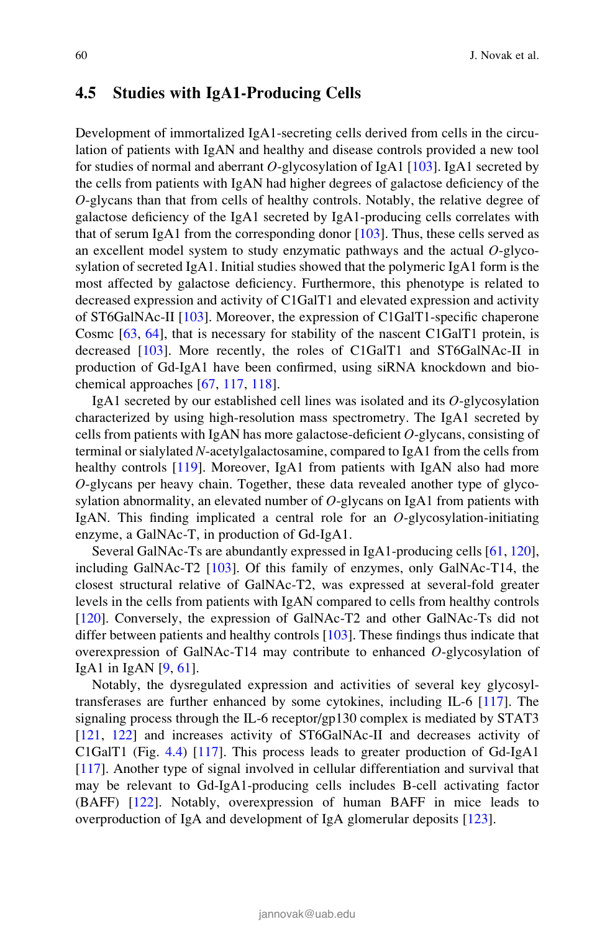# 4.5 Studies with IgA1-Producing Cells

Development of immortalized IgA1-secreting cells derived from cells in the circulation of patients with IgAN and healthy and disease controls provided a new tool for studies of normal and aberrant  $O$ -glycosylation of IgA1 [103]. IgA1 secreted by the cells from patients with IgAN had higher degrees of galactose deficiency of the O-glycans than that from cells of healthy controls. Notably, the relative degree of galactose deficiency of the IgA1 secreted by IgA1-producing cells correlates with that of serum IgA1 from the corresponding donor [103]. Thus, these cells served as an excellent model system to study enzymatic pathways and the actual  $O$ -glycosylation of secreted IgA1. Initial studies showed that the polymeric IgA1 form is the most affected by galactose deficiency. Furthermore, this phenotype is related to decreased expression and activity of C1GalT1 and elevated expression and activity of ST6GalNAc-II [103]. Moreover, the expression of C1GalT1-specific chaperone Cosmc [63, 64], that is necessary for stability of the nascent C1GalT1 protein, is decreased [103]. More recently, the roles of C1GalT1 and ST6GalNAc-II in production of Gd-IgA1 have been confirmed, using siRNA knockdown and biochemical approaches [67, 117, 118].

IgA1 secreted by our established cell lines was isolated and its O-glycosylation characterized by using high-resolution mass spectrometry. The IgA1 secreted by cells from patients with IgAN has more galactose-deficient  $O$ -glycans, consisting of terminal or sialylated N-acetylgalactosamine, compared to IgA1 from the cells from healthy controls [119]. Moreover, IgA1 from patients with IgAN also had more O-glycans per heavy chain. Together, these data revealed another type of glycosylation abnormality, an elevated number of  $O$ -glycans on IgA1 from patients with IgAN. This finding implicated a central role for an  $O$ -glycosylation-initiating enzyme, a GalNAc-T, in production of Gd-IgA1.

Several GalNAc-Ts are abundantly expressed in IgA1-producing cells [61, 120], including GalNAc-T2 [103]. Of this family of enzymes, only GalNAc-T14, the closest structural relative of GalNAc-T2, was expressed at several-fold greater levels in the cells from patients with IgAN compared to cells from healthy controls [120]. Conversely, the expression of GalNAc-T2 and other GalNAc-Ts did not differ between patients and healthy controls [103]. These findings thus indicate that overexpression of GalNAc-T14 may contribute to enhanced  $O$ -glycosylation of IgA1 in IgAN  $[9, 61]$ .

Notably, the dysregulated expression and activities of several key glycosyltransferases are further enhanced by some cytokines, including IL-6 [117]. The signaling process through the IL-6 receptor/gp130 complex is mediated by STAT3 [121, 122] and increases activity of ST6GalNAc-II and decreases activity of C1GalT1 (Fig. 4.4) [117]. This process leads to greater production of Gd-IgA1 [117]. Another type of signal involved in cellular differentiation and survival that may be relevant to Gd-IgA1-producing cells includes B-cell activating factor (BAFF) [122]. Notably, overexpression of human BAFF in mice leads to overproduction of IgA and development of IgA glomerular deposits [123].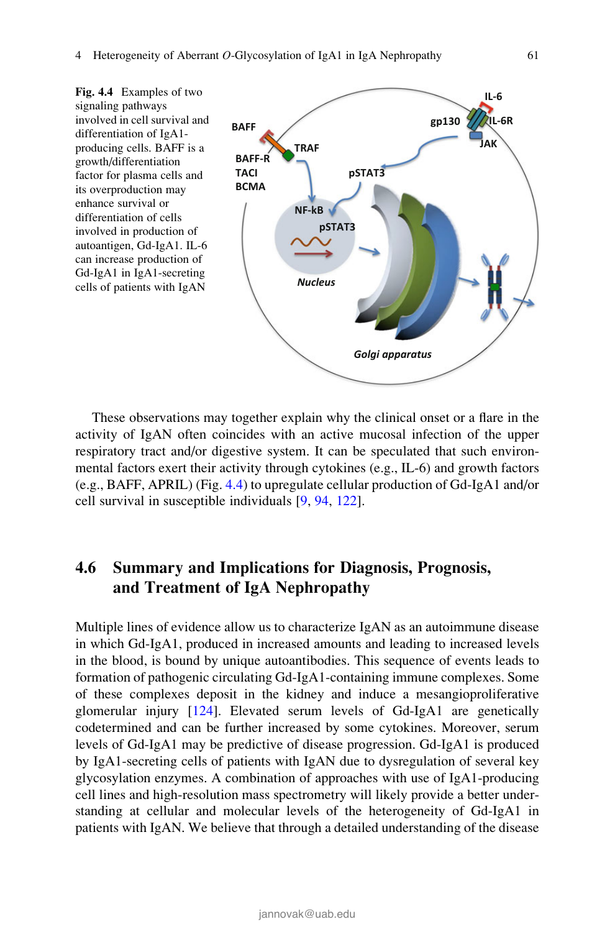

These observations may together explain why the clinical onset or a flare in the activity of IgAN often coincides with an active mucosal infection of the upper respiratory tract and/or digestive system. It can be speculated that such environmental factors exert their activity through cytokines (e.g., IL-6) and growth factors (e.g., BAFF, APRIL) (Fig. 4.4) to upregulate cellular production of Gd-IgA1 and/or cell survival in susceptible individuals [9, 94, 122].

# 4.6 Summary and Implications for Diagnosis, Prognosis, and Treatment of IgA Nephropathy

Multiple lines of evidence allow us to characterize IgAN as an autoimmune disease in which Gd-IgA1, produced in increased amounts and leading to increased levels in the blood, is bound by unique autoantibodies. This sequence of events leads to formation of pathogenic circulating Gd-IgA1-containing immune complexes. Some of these complexes deposit in the kidney and induce a mesangioproliferative glomerular injury [124]. Elevated serum levels of Gd-IgA1 are genetically codetermined and can be further increased by some cytokines. Moreover, serum levels of Gd-IgA1 may be predictive of disease progression. Gd-IgA1 is produced by IgA1-secreting cells of patients with IgAN due to dysregulation of several key glycosylation enzymes. A combination of approaches with use of IgA1-producing cell lines and high-resolution mass spectrometry will likely provide a better understanding at cellular and molecular levels of the heterogeneity of Gd-IgA1 in patients with IgAN. We believe that through a detailed understanding of the disease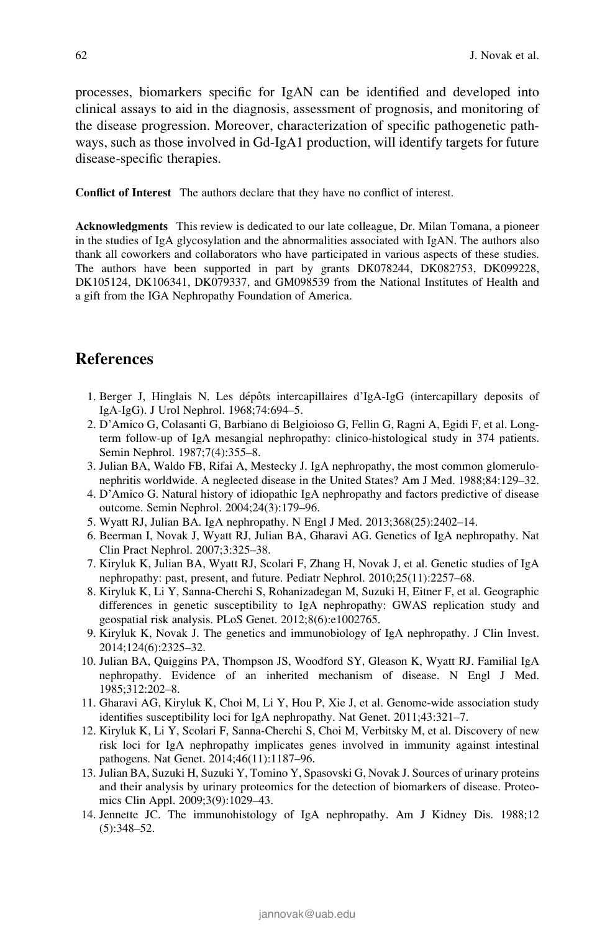processes, biomarkers specific for IgAN can be identified and developed into clinical assays to aid in the diagnosis, assessment of prognosis, and monitoring of the disease progression. Moreover, characterization of specific pathogenetic pathways, such as those involved in Gd-IgA1 production, will identify targets for future disease-specific therapies.

Conflict of Interest The authors declare that they have no conflict of interest.

Acknowledgments This review is dedicated to our late colleague, Dr. Milan Tomana, a pioneer in the studies of IgA glycosylation and the abnormalities associated with IgAN. The authors also thank all coworkers and collaborators who have participated in various aspects of these studies. The authors have been supported in part by grants DK078244, DK082753, DK099228, DK105124, DK106341, DK079337, and GM098539 from the National Institutes of Health and a gift from the IGA Nephropathy Foundation of America.

# References

- 1. Berger J, Hinglais N. Les dépôts intercapillaires d'IgA-IgG (intercapillary deposits of IgA-IgG). J Urol Nephrol. 1968;74:694–5.
- 2. D'Amico G, Colasanti G, Barbiano di Belgioioso G, Fellin G, Ragni A, Egidi F, et al. Longterm follow-up of IgA mesangial nephropathy: clinico-histological study in 374 patients. Semin Nephrol. 1987;7(4):355–8.
- 3. Julian BA, Waldo FB, Rifai A, Mestecky J. IgA nephropathy, the most common glomerulonephritis worldwide. A neglected disease in the United States? Am J Med. 1988;84:129–32.
- 4. D'Amico G. Natural history of idiopathic IgA nephropathy and factors predictive of disease outcome. Semin Nephrol. 2004;24(3):179–96.
- 5. Wyatt RJ, Julian BA. IgA nephropathy. N Engl J Med. 2013;368(25):2402–14.
- 6. Beerman I, Novak J, Wyatt RJ, Julian BA, Gharavi AG. Genetics of IgA nephropathy. Nat Clin Pract Nephrol. 2007;3:325–38.
- 7. Kiryluk K, Julian BA, Wyatt RJ, Scolari F, Zhang H, Novak J, et al. Genetic studies of IgA nephropathy: past, present, and future. Pediatr Nephrol. 2010;25(11):2257–68.
- 8. Kiryluk K, Li Y, Sanna-Cherchi S, Rohanizadegan M, Suzuki H, Eitner F, et al. Geographic differences in genetic susceptibility to IgA nephropathy: GWAS replication study and geospatial risk analysis. PLoS Genet. 2012;8(6):e1002765.
- 9. Kiryluk K, Novak J. The genetics and immunobiology of IgA nephropathy. J Clin Invest. 2014;124(6):2325–32.
- 10. Julian BA, Quiggins PA, Thompson JS, Woodford SY, Gleason K, Wyatt RJ. Familial IgA nephropathy. Evidence of an inherited mechanism of disease. N Engl J Med. 1985;312:202–8.
- 11. Gharavi AG, Kiryluk K, Choi M, Li Y, Hou P, Xie J, et al. Genome-wide association study identifies susceptibility loci for IgA nephropathy. Nat Genet. 2011;43:321–7.
- 12. Kiryluk K, Li Y, Scolari F, Sanna-Cherchi S, Choi M, Verbitsky M, et al. Discovery of new risk loci for IgA nephropathy implicates genes involved in immunity against intestinal pathogens. Nat Genet. 2014;46(11):1187–96.
- 13. Julian BA, Suzuki H, Suzuki Y, Tomino Y, Spasovski G, Novak J. Sources of urinary proteins and their analysis by urinary proteomics for the detection of biomarkers of disease. Proteomics Clin Appl. 2009;3(9):1029–43.
- 14. Jennette JC. The immunohistology of IgA nephropathy. Am J Kidney Dis. 1988;12 (5):348–52.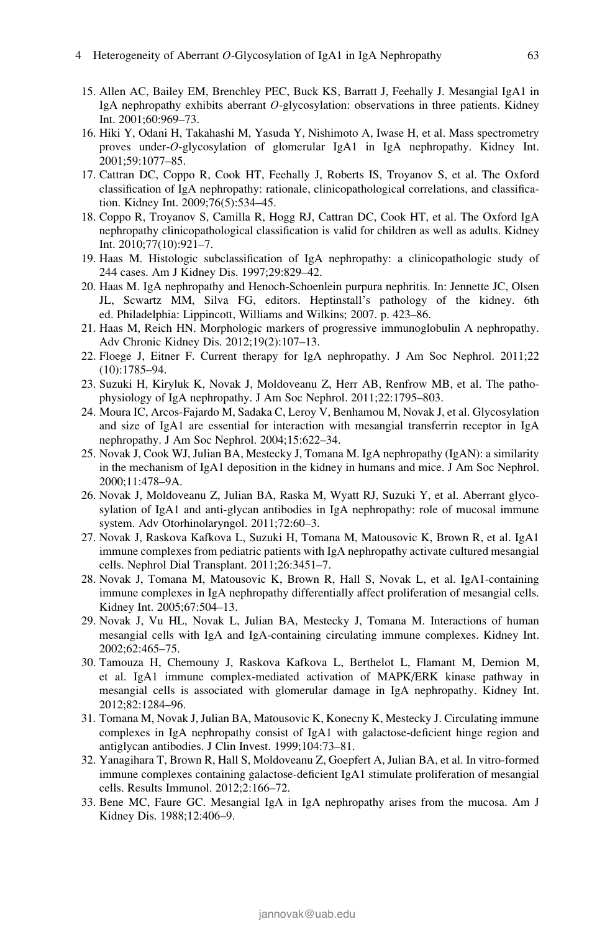- 15. Allen AC, Bailey EM, Brenchley PEC, Buck KS, Barratt J, Feehally J. Mesangial IgA1 in IgA nephropathy exhibits aberrant O-glycosylation: observations in three patients. Kidney Int. 2001;60:969–73.
- 16. Hiki Y, Odani H, Takahashi M, Yasuda Y, Nishimoto A, Iwase H, et al. Mass spectrometry proves under-O-glycosylation of glomerular IgA1 in IgA nephropathy. Kidney Int. 2001;59:1077–85.
- 17. Cattran DC, Coppo R, Cook HT, Feehally J, Roberts IS, Troyanov S, et al. The Oxford classification of IgA nephropathy: rationale, clinicopathological correlations, and classification. Kidney Int. 2009;76(5):534–45.
- 18. Coppo R, Troyanov S, Camilla R, Hogg RJ, Cattran DC, Cook HT, et al. The Oxford IgA nephropathy clinicopathological classification is valid for children as well as adults. Kidney Int. 2010;77(10):921–7.
- 19. Haas M. Histologic subclassification of IgA nephropathy: a clinicopathologic study of 244 cases. Am J Kidney Dis. 1997;29:829–42.
- 20. Haas M. IgA nephropathy and Henoch-Schoenlein purpura nephritis. In: Jennette JC, Olsen JL, Scwartz MM, Silva FG, editors. Heptinstall's pathology of the kidney. 6th ed. Philadelphia: Lippincott, Williams and Wilkins; 2007. p. 423–86.
- 21. Haas M, Reich HN. Morphologic markers of progressive immunoglobulin A nephropathy. Adv Chronic Kidney Dis. 2012;19(2):107–13.
- 22. Floege J, Eitner F. Current therapy for IgA nephropathy. J Am Soc Nephrol. 2011;22 (10):1785–94.
- 23. Suzuki H, Kiryluk K, Novak J, Moldoveanu Z, Herr AB, Renfrow MB, et al. The pathophysiology of IgA nephropathy. J Am Soc Nephrol. 2011;22:1795–803.
- 24. Moura IC, Arcos-Fajardo M, Sadaka C, Leroy V, Benhamou M, Novak J, et al. Glycosylation and size of IgA1 are essential for interaction with mesangial transferrin receptor in IgA nephropathy. J Am Soc Nephrol. 2004;15:622–34.
- 25. Novak J, Cook WJ, Julian BA, Mestecky J, Tomana M. IgA nephropathy (IgAN): a similarity in the mechanism of IgA1 deposition in the kidney in humans and mice. J Am Soc Nephrol. 2000;11:478–9A.
- 26. Novak J, Moldoveanu Z, Julian BA, Raska M, Wyatt RJ, Suzuki Y, et al. Aberrant glycosylation of IgA1 and anti-glycan antibodies in IgA nephropathy: role of mucosal immune system. Adv Otorhinolaryngol. 2011;72:60–3.
- 27. Novak J, Raskova Kafkova L, Suzuki H, Tomana M, Matousovic K, Brown R, et al. IgA1 immune complexes from pediatric patients with IgA nephropathy activate cultured mesangial cells. Nephrol Dial Transplant. 2011;26:3451–7.
- 28. Novak J, Tomana M, Matousovic K, Brown R, Hall S, Novak L, et al. IgA1-containing immune complexes in IgA nephropathy differentially affect proliferation of mesangial cells. Kidney Int. 2005;67:504–13.
- 29. Novak J, Vu HL, Novak L, Julian BA, Mestecky J, Tomana M. Interactions of human mesangial cells with IgA and IgA-containing circulating immune complexes. Kidney Int. 2002;62:465–75.
- 30. Tamouza H, Chemouny J, Raskova Kafkova L, Berthelot L, Flamant M, Demion M, et al. IgA1 immune complex-mediated activation of MAPK/ERK kinase pathway in mesangial cells is associated with glomerular damage in IgA nephropathy. Kidney Int. 2012;82:1284–96.
- 31. Tomana M, Novak J, Julian BA, Matousovic K, Konecny K, Mestecky J. Circulating immune complexes in IgA nephropathy consist of IgA1 with galactose-deficient hinge region and antiglycan antibodies. J Clin Invest. 1999;104:73–81.
- 32. Yanagihara T, Brown R, Hall S, Moldoveanu Z, Goepfert A, Julian BA, et al. In vitro-formed immune complexes containing galactose-deficient IgA1 stimulate proliferation of mesangial cells. Results Immunol. 2012;2:166–72.
- 33. Bene MC, Faure GC. Mesangial IgA in IgA nephropathy arises from the mucosa. Am J Kidney Dis. 1988;12:406–9.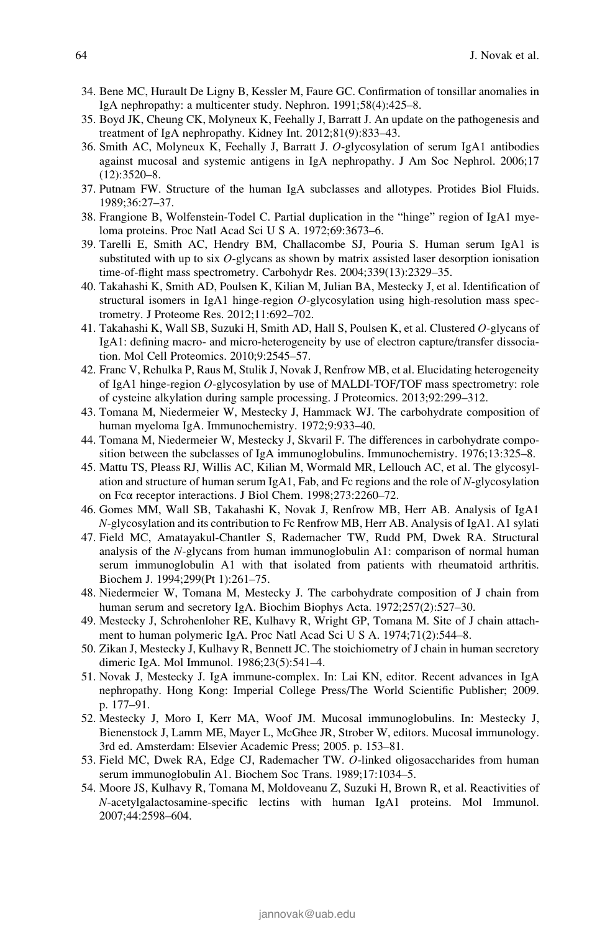- 34. Bene MC, Hurault De Ligny B, Kessler M, Faure GC. Confirmation of tonsillar anomalies in IgA nephropathy: a multicenter study. Nephron. 1991;58(4):425–8.
- 35. Boyd JK, Cheung CK, Molyneux K, Feehally J, Barratt J. An update on the pathogenesis and treatment of IgA nephropathy. Kidney Int. 2012;81(9):833–43.
- 36. Smith AC, Molyneux K, Feehally J, Barratt J. O-glycosylation of serum IgA1 antibodies against mucosal and systemic antigens in IgA nephropathy. J Am Soc Nephrol. 2006;17 (12):3520–8.
- 37. Putnam FW. Structure of the human IgA subclasses and allotypes. Protides Biol Fluids. 1989;36:27–37.
- 38. Frangione B, Wolfenstein-Todel C. Partial duplication in the "hinge" region of IgA1 myeloma proteins. Proc Natl Acad Sci U S A. 1972;69:3673–6.
- 39. Tarelli E, Smith AC, Hendry BM, Challacombe SJ, Pouria S. Human serum IgA1 is substituted with up to six O-glycans as shown by matrix assisted laser desorption ionisation time-of-flight mass spectrometry. Carbohydr Res. 2004;339(13):2329–35.
- 40. Takahashi K, Smith AD, Poulsen K, Kilian M, Julian BA, Mestecky J, et al. Identification of structural isomers in IgA1 hinge-region  $O$ -glycosylation using high-resolution mass spectrometry. J Proteome Res. 2012;11:692–702.
- 41. Takahashi K, Wall SB, Suzuki H, Smith AD, Hall S, Poulsen K, et al. Clustered O-glycans of IgA1: defining macro- and micro-heterogeneity by use of electron capture/transfer dissociation. Mol Cell Proteomics. 2010;9:2545–57.
- 42. Franc V, Rehulka P, Raus M, Stulik J, Novak J, Renfrow MB, et al. Elucidating heterogeneity of IgA1 hinge-region O-glycosylation by use of MALDI-TOF/TOF mass spectrometry: role of cysteine alkylation during sample processing. J Proteomics. 2013;92:299–312.
- 43. Tomana M, Niedermeier W, Mestecky J, Hammack WJ. The carbohydrate composition of human myeloma IgA. Immunochemistry. 1972;9:933–40.
- 44. Tomana M, Niedermeier W, Mestecky J, Skvaril F. The differences in carbohydrate composition between the subclasses of IgA immunoglobulins. Immunochemistry. 1976;13:325–8.
- 45. Mattu TS, Pleass RJ, Willis AC, Kilian M, Wormald MR, Lellouch AC, et al. The glycosylation and structure of human serum IgA1, Fab, and Fc regions and the role of N-glycosylation on Fcα receptor interactions. J Biol Chem. 1998;273:2260–72.
- 46. Gomes MM, Wall SB, Takahashi K, Novak J, Renfrow MB, Herr AB. Analysis of IgA1 N-glycosylation and its contribution to Fc Renfrow MB, Herr AB. Analysis of IgA1. A1 sylati
- 47. Field MC, Amatayakul-Chantler S, Rademacher TW, Rudd PM, Dwek RA. Structural analysis of the N-glycans from human immunoglobulin A1: comparison of normal human serum immunoglobulin A1 with that isolated from patients with rheumatoid arthritis. Biochem J. 1994;299(Pt 1):261–75.
- 48. Niedermeier W, Tomana M, Mestecky J. The carbohydrate composition of J chain from human serum and secretory IgA. Biochim Biophys Acta. 1972;257(2):527–30.
- 49. Mestecky J, Schrohenloher RE, Kulhavy R, Wright GP, Tomana M. Site of J chain attachment to human polymeric IgA. Proc Natl Acad Sci U S A. 1974;71(2):544–8.
- 50. Zikan J, Mestecky J, Kulhavy R, Bennett JC. The stoichiometry of J chain in human secretory dimeric IgA. Mol Immunol. 1986;23(5):541–4.
- 51. Novak J, Mestecky J. IgA immune-complex. In: Lai KN, editor. Recent advances in IgA nephropathy. Hong Kong: Imperial College Press/The World Scientific Publisher; 2009. p. 177–91.
- 52. Mestecky J, Moro I, Kerr MA, Woof JM. Mucosal immunoglobulins. In: Mestecky J, Bienenstock J, Lamm ME, Mayer L, McGhee JR, Strober W, editors. Mucosal immunology. 3rd ed. Amsterdam: Elsevier Academic Press; 2005. p. 153–81.
- 53. Field MC, Dwek RA, Edge CJ, Rademacher TW. O-linked oligosaccharides from human serum immunoglobulin A1. Biochem Soc Trans. 1989;17:1034–5.
- 54. Moore JS, Kulhavy R, Tomana M, Moldoveanu Z, Suzuki H, Brown R, et al. Reactivities of N-acetylgalactosamine-specific lectins with human IgA1 proteins. Mol Immunol. 2007;44:2598–604.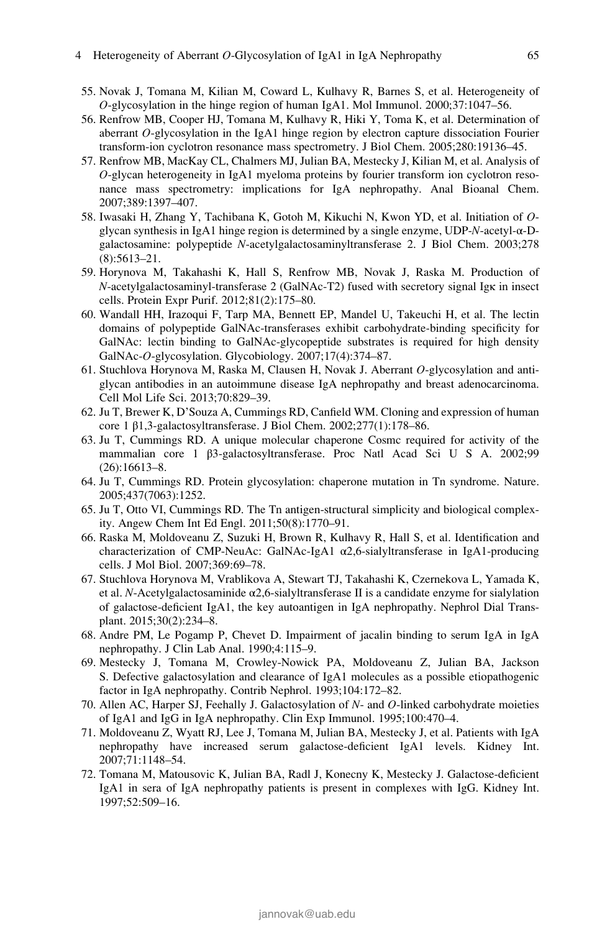#### 4 Heterogeneity of Aberrant O-Glycosylation of IgA1 in IgA Nephropathy 65

- 55. Novak J, Tomana M, Kilian M, Coward L, Kulhavy R, Barnes S, et al. Heterogeneity of  $O$ -glycosylation in the hinge region of human IgA1. Mol Immunol. 2000;37:1047–56.
- 56. Renfrow MB, Cooper HJ, Tomana M, Kulhavy R, Hiki Y, Toma K, et al. Determination of aberrant O-glycosylation in the IgA1 hinge region by electron capture dissociation Fourier transform-ion cyclotron resonance mass spectrometry. J Biol Chem. 2005;280:19136–45.
- 57. Renfrow MB, MacKay CL, Chalmers MJ, Julian BA, Mestecky J, Kilian M, et al. Analysis of O-glycan heterogeneity in IgA1 myeloma proteins by fourier transform ion cyclotron resonance mass spectrometry: implications for IgA nephropathy. Anal Bioanal Chem. 2007;389:1397–407.
- 58. Iwasaki H, Zhang Y, Tachibana K, Gotoh M, Kikuchi N, Kwon YD, et al. Initiation of Oglycan synthesis in IgA1 hinge region is determined by a single enzyme, UDP-N-acetyl-α-Dgalactosamine: polypeptide N-acetylgalactosaminyltransferase 2. J Biol Chem. 2003;278 (8):5613–21.
- 59. Horynova M, Takahashi K, Hall S, Renfrow MB, Novak J, Raska M. Production of N-acetylgalactosaminyl-transferase 2 (GalNAc-T2) fused with secretory signal Igκ in insect cells. Protein Expr Purif. 2012;81(2):175–80.
- 60. Wandall HH, Irazoqui F, Tarp MA, Bennett EP, Mandel U, Takeuchi H, et al. The lectin domains of polypeptide GalNAc-transferases exhibit carbohydrate-binding specificity for GalNAc: lectin binding to GalNAc-glycopeptide substrates is required for high density GalNAc-O-glycosylation. Glycobiology. 2007;17(4):374–87.
- 61. Stuchlova Horynova M, Raska M, Clausen H, Novak J. Aberrant O-glycosylation and antiglycan antibodies in an autoimmune disease IgA nephropathy and breast adenocarcinoma. Cell Mol Life Sci. 2013;70:829–39.
- 62. Ju T, Brewer K, D'Souza A, Cummings RD, Canfield WM. Cloning and expression of human core 1 β1,3-galactosyltransferase. J Biol Chem. 2002;277(1):178–86.
- 63. Ju T, Cummings RD. A unique molecular chaperone Cosmc required for activity of the mammalian core 1 β3-galactosyltransferase. Proc Natl Acad Sci U S A. 2002;99 (26):16613–8.
- 64. Ju T, Cummings RD. Protein glycosylation: chaperone mutation in Tn syndrome. Nature. 2005;437(7063):1252.
- 65. Ju T, Otto VI, Cummings RD. The Tn antigen-structural simplicity and biological complexity. Angew Chem Int Ed Engl. 2011;50(8):1770–91.
- 66. Raska M, Moldoveanu Z, Suzuki H, Brown R, Kulhavy R, Hall S, et al. Identification and characterization of CMP-NeuAc: GalNAc-IgA1 α2,6-sialyltransferase in IgA1-producing cells. J Mol Biol. 2007;369:69–78.
- 67. Stuchlova Horynova M, Vrablikova A, Stewart TJ, Takahashi K, Czernekova L, Yamada K, et al. N-Acetylgalactosaminide α2,6-sialyltransferase II is a candidate enzyme for sialylation of galactose-deficient IgA1, the key autoantigen in IgA nephropathy. Nephrol Dial Transplant. 2015;30(2):234–8.
- 68. Andre PM, Le Pogamp P, Chevet D. Impairment of jacalin binding to serum IgA in IgA nephropathy. J Clin Lab Anal. 1990;4:115–9.
- 69. Mestecky J, Tomana M, Crowley-Nowick PA, Moldoveanu Z, Julian BA, Jackson S. Defective galactosylation and clearance of IgA1 molecules as a possible etiopathogenic factor in IgA nephropathy. Contrib Nephrol. 1993;104:172–82.
- 70. Allen AC, Harper SJ, Feehally J. Galactosylation of N- and O-linked carbohydrate moieties of IgA1 and IgG in IgA nephropathy. Clin Exp Immunol. 1995;100:470–4.
- 71. Moldoveanu Z, Wyatt RJ, Lee J, Tomana M, Julian BA, Mestecky J, et al. Patients with IgA nephropathy have increased serum galactose-deficient IgA1 levels. Kidney Int. 2007;71:1148–54.
- 72. Tomana M, Matousovic K, Julian BA, Radl J, Konecny K, Mestecky J. Galactose-deficient IgA1 in sera of IgA nephropathy patients is present in complexes with IgG. Kidney Int. 1997;52:509–16.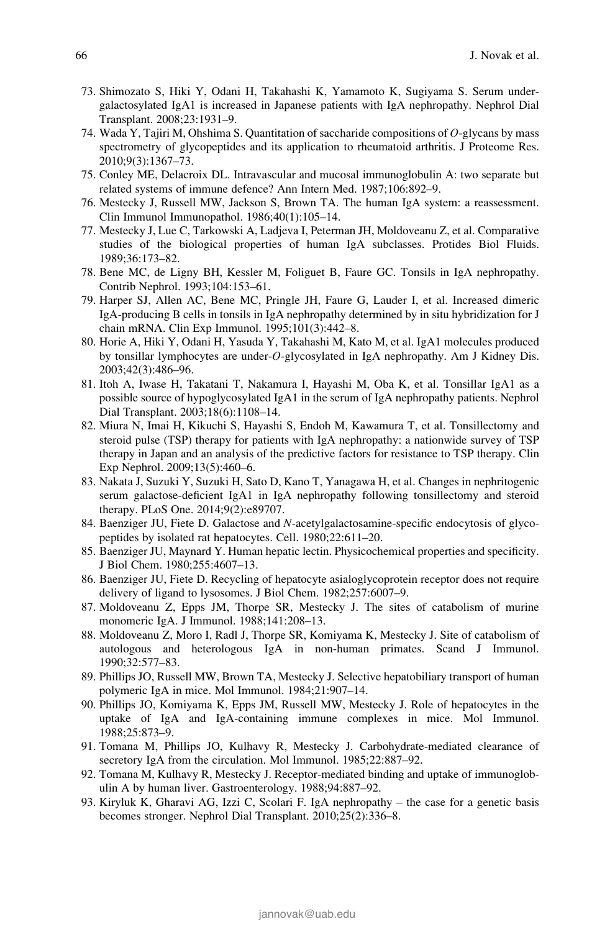- 73. Shimozato S, Hiki Y, Odani H, Takahashi K, Yamamoto K, Sugiyama S. Serum undergalactosylated IgA1 is increased in Japanese patients with IgA nephropathy. Nephrol Dial Transplant. 2008;23:1931–9.
- 74. Wada Y, Tajiri M, Ohshima S. Quantitation of saccharide compositions of O-glycans by mass spectrometry of glycopeptides and its application to rheumatoid arthritis. J Proteome Res. 2010;9(3):1367–73.
- 75. Conley ME, Delacroix DL. Intravascular and mucosal immunoglobulin A: two separate but related systems of immune defence? Ann Intern Med. 1987;106:892–9.
- 76. Mestecky J, Russell MW, Jackson S, Brown TA. The human IgA system: a reassessment. Clin Immunol Immunopathol. 1986;40(1):105–14.
- 77. Mestecky J, Lue C, Tarkowski A, Ladjeva I, Peterman JH, Moldoveanu Z, et al. Comparative studies of the biological properties of human IgA subclasses. Protides Biol Fluids. 1989;36:173–82.
- 78. Bene MC, de Ligny BH, Kessler M, Foliguet B, Faure GC. Tonsils in IgA nephropathy. Contrib Nephrol. 1993;104:153–61.
- 79. Harper SJ, Allen AC, Bene MC, Pringle JH, Faure G, Lauder I, et al. Increased dimeric IgA-producing B cells in tonsils in IgA nephropathy determined by in situ hybridization for J chain mRNA. Clin Exp Immunol. 1995;101(3):442–8.
- 80. Horie A, Hiki Y, Odani H, Yasuda Y, Takahashi M, Kato M, et al. IgA1 molecules produced by tonsillar lymphocytes are under-O-glycosylated in IgA nephropathy. Am J Kidney Dis. 2003;42(3):486–96.
- 81. Itoh A, Iwase H, Takatani T, Nakamura I, Hayashi M, Oba K, et al. Tonsillar IgA1 as a possible source of hypoglycosylated IgA1 in the serum of IgA nephropathy patients. Nephrol Dial Transplant. 2003;18(6):1108–14.
- 82. Miura N, Imai H, Kikuchi S, Hayashi S, Endoh M, Kawamura T, et al. Tonsillectomy and steroid pulse (TSP) therapy for patients with IgA nephropathy: a nationwide survey of TSP therapy in Japan and an analysis of the predictive factors for resistance to TSP therapy. Clin Exp Nephrol. 2009;13(5):460–6.
- 83. Nakata J, Suzuki Y, Suzuki H, Sato D, Kano T, Yanagawa H, et al. Changes in nephritogenic serum galactose-deficient IgA1 in IgA nephropathy following tonsillectomy and steroid therapy. PLoS One. 2014;9(2):e89707.
- 84. Baenziger JU, Fiete D. Galactose and N-acetylgalactosamine-specific endocytosis of glycopeptides by isolated rat hepatocytes. Cell. 1980;22:611–20.
- 85. Baenziger JU, Maynard Y. Human hepatic lectin. Physicochemical properties and specificity. J Biol Chem. 1980;255:4607–13.
- 86. Baenziger JU, Fiete D. Recycling of hepatocyte asialoglycoprotein receptor does not require delivery of ligand to lysosomes. J Biol Chem. 1982;257:6007–9.
- 87. Moldoveanu Z, Epps JM, Thorpe SR, Mestecky J. The sites of catabolism of murine monomeric IgA. J Immunol. 1988;141:208–13.
- 88. Moldoveanu Z, Moro I, Radl J, Thorpe SR, Komiyama K, Mestecky J. Site of catabolism of autologous and heterologous IgA in non-human primates. Scand J Immunol. 1990;32:577–83.
- 89. Phillips JO, Russell MW, Brown TA, Mestecky J. Selective hepatobiliary transport of human polymeric IgA in mice. Mol Immunol. 1984;21:907–14.
- 90. Phillips JO, Komiyama K, Epps JM, Russell MW, Mestecky J. Role of hepatocytes in the uptake of IgA and IgA-containing immune complexes in mice. Mol Immunol. 1988;25:873–9.
- 91. Tomana M, Phillips JO, Kulhavy R, Mestecky J. Carbohydrate-mediated clearance of secretory IgA from the circulation. Mol Immunol. 1985;22:887–92.
- 92. Tomana M, Kulhavy R, Mestecky J. Receptor-mediated binding and uptake of immunoglobulin A by human liver. Gastroenterology. 1988;94:887–92.
- 93. Kiryluk K, Gharavi AG, Izzi C, Scolari F. IgA nephropathy the case for a genetic basis becomes stronger. Nephrol Dial Transplant. 2010;25(2):336–8.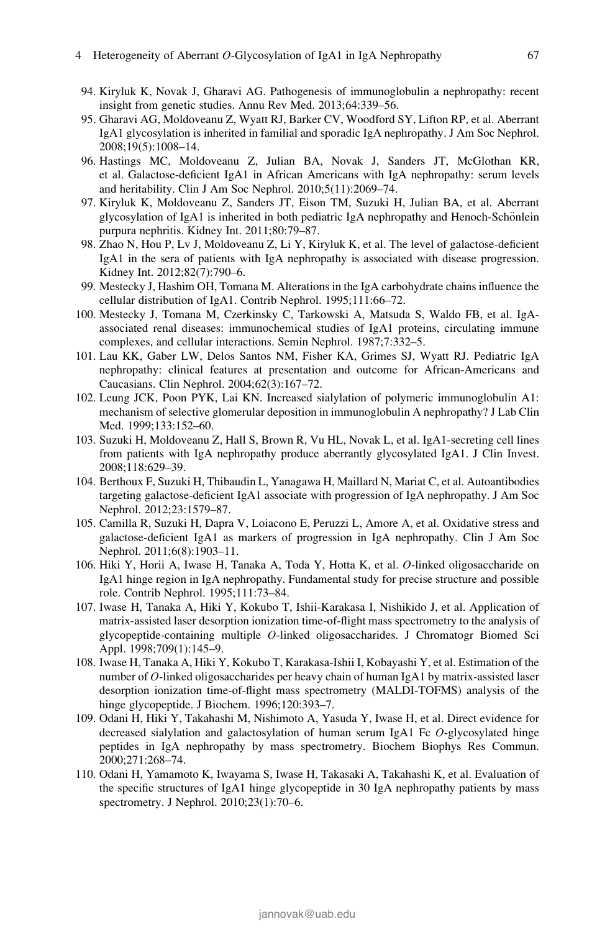#### 4 Heterogeneity of Aberrant O-Glycosylation of IgA1 in IgA Nephropathy 67

- 94. Kiryluk K, Novak J, Gharavi AG. Pathogenesis of immunoglobulin a nephropathy: recent insight from genetic studies. Annu Rev Med. 2013;64:339–56.
- 95. Gharavi AG, Moldoveanu Z, Wyatt RJ, Barker CV, Woodford SY, Lifton RP, et al. Aberrant IgA1 glycosylation is inherited in familial and sporadic IgA nephropathy. J Am Soc Nephrol. 2008;19(5):1008–14.
- 96. Hastings MC, Moldoveanu Z, Julian BA, Novak J, Sanders JT, McGlothan KR, et al. Galactose-deficient IgA1 in African Americans with IgA nephropathy: serum levels and heritability. Clin J Am Soc Nephrol. 2010;5(11):2069–74.
- 97. Kiryluk K, Moldoveanu Z, Sanders JT, Eison TM, Suzuki H, Julian BA, et al. Aberrant glycosylation of IgA1 is inherited in both pediatric IgA nephropathy and Henoch-Schönlein purpura nephritis. Kidney Int. 2011;80:79–87.
- 98. Zhao N, Hou P, Lv J, Moldoveanu Z, Li Y, Kiryluk K, et al. The level of galactose-deficient IgA1 in the sera of patients with IgA nephropathy is associated with disease progression. Kidney Int. 2012;82(7):790–6.
- 99. Mestecky J, Hashim OH, Tomana M. Alterations in the IgA carbohydrate chains influence the cellular distribution of IgA1. Contrib Nephrol. 1995;111:66–72.
- 100. Mestecky J, Tomana M, Czerkinsky C, Tarkowski A, Matsuda S, Waldo FB, et al. IgAassociated renal diseases: immunochemical studies of IgA1 proteins, circulating immune complexes, and cellular interactions. Semin Nephrol. 1987;7:332–5.
- 101. Lau KK, Gaber LW, Delos Santos NM, Fisher KA, Grimes SJ, Wyatt RJ. Pediatric IgA nephropathy: clinical features at presentation and outcome for African-Americans and Caucasians. Clin Nephrol. 2004;62(3):167–72.
- 102. Leung JCK, Poon PYK, Lai KN. Increased sialylation of polymeric immunoglobulin A1: mechanism of selective glomerular deposition in immunoglobulin A nephropathy? J Lab Clin Med. 1999;133:152–60.
- 103. Suzuki H, Moldoveanu Z, Hall S, Brown R, Vu HL, Novak L, et al. IgA1-secreting cell lines from patients with IgA nephropathy produce aberrantly glycosylated IgA1. J Clin Invest. 2008;118:629–39.
- 104. Berthoux F, Suzuki H, Thibaudin L, Yanagawa H, Maillard N, Mariat C, et al. Autoantibodies targeting galactose-deficient IgA1 associate with progression of IgA nephropathy. J Am Soc Nephrol. 2012;23:1579–87.
- 105. Camilla R, Suzuki H, Dapra V, Loiacono E, Peruzzi L, Amore A, et al. Oxidative stress and galactose-deficient IgA1 as markers of progression in IgA nephropathy. Clin J Am Soc Nephrol. 2011;6(8):1903–11.
- 106. Hiki Y, Horii A, Iwase H, Tanaka A, Toda Y, Hotta K, et al. O-linked oligosaccharide on IgA1 hinge region in IgA nephropathy. Fundamental study for precise structure and possible role. Contrib Nephrol. 1995;111:73–84.
- 107. Iwase H, Tanaka A, Hiki Y, Kokubo T, Ishii-Karakasa I, Nishikido J, et al. Application of matrix-assisted laser desorption ionization time-of-flight mass spectrometry to the analysis of glycopeptide-containing multiple O-linked oligosaccharides. J Chromatogr Biomed Sci Appl. 1998;709(1):145–9.
- 108. Iwase H, Tanaka A, Hiki Y, Kokubo T, Karakasa-Ishii I, Kobayashi Y, et al. Estimation of the number of O-linked oligosaccharides per heavy chain of human IgA1 by matrix-assisted laser desorption ionization time-of-flight mass spectrometry (MALDI-TOFMS) analysis of the hinge glycopeptide. J Biochem. 1996;120:393–7.
- 109. Odani H, Hiki Y, Takahashi M, Nishimoto A, Yasuda Y, Iwase H, et al. Direct evidence for decreased sialylation and galactosylation of human serum IgA1 Fc O-glycosylated hinge peptides in IgA nephropathy by mass spectrometry. Biochem Biophys Res Commun. 2000;271:268–74.
- 110. Odani H, Yamamoto K, Iwayama S, Iwase H, Takasaki A, Takahashi K, et al. Evaluation of the specific structures of IgA1 hinge glycopeptide in 30 IgA nephropathy patients by mass spectrometry. J Nephrol. 2010;23(1):70–6.